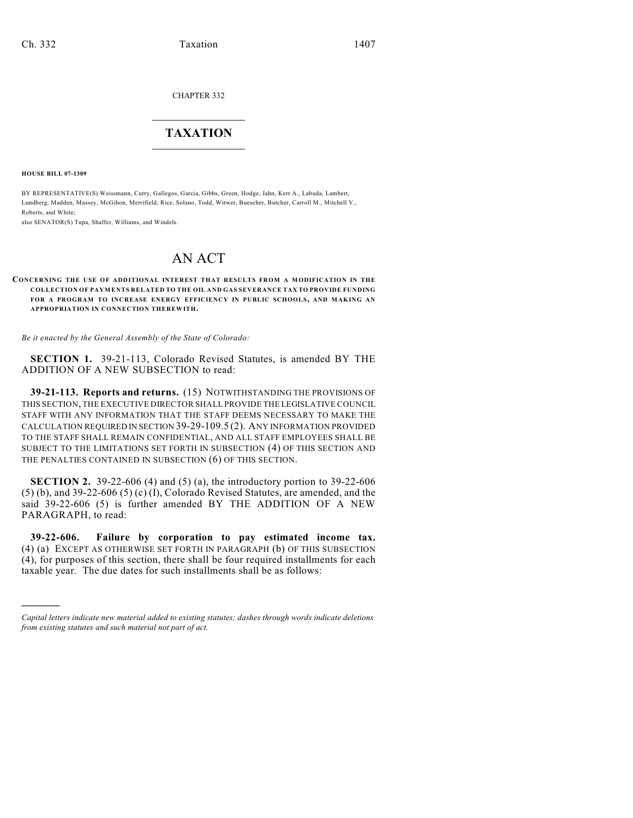CHAPTER 332

## $\overline{\phantom{a}}$  . The set of the set of the set of the set of the set of the set of the set of the set of the set of the set of the set of the set of the set of the set of the set of the set of the set of the set of the set o **TAXATION**  $\_$

**HOUSE BILL 07-1309**

)))))

BY REPRESENTATIVE(S) Weissmann, Curry, Gallegos, Garcia, Gibbs, Green, Hodge, Jahn, Kerr A., Labuda, Lambert, Lundberg, Madden, Massey, McGihon, Merrifield, Rice, Solano, Todd, Witwer, Buescher, Butcher, Carroll M., Mitchell V., Roberts, and White;

also SENATOR(S) Tupa, Shaffer, Williams, and Windels.

# AN ACT

#### **CONCERNING THE USE OF ADDITIONAL INTEREST THAT RESULTS FROM A MODIFICATION IN THE COLLECTION OF PAYMENTS RELATED TO THE OIL AND GAS SEVERANCE TAX TO PROVIDE FUNDING FOR A PROGRAM TO INCREASE ENERGY EFFICIENCY IN PUBLIC SCHOOLS, AND MAKING AN APPROPRIATION IN CONNECTION THEREWITH.**

*Be it enacted by the General Assembly of the State of Colorado:*

**SECTION 1.** 39-21-113, Colorado Revised Statutes, is amended BY THE ADDITION OF A NEW SUBSECTION to read:

**39-21-113. Reports and returns.** (15) NOTWITHSTANDING THE PROVISIONS OF THIS SECTION, THE EXECUTIVE DIRECTOR SHALL PROVIDE THE LEGISLATIVE COUNCIL STAFF WITH ANY INFORMATION THAT THE STAFF DEEMS NECESSARY TO MAKE THE CALCULATION REQUIRED IN SECTION 39-29-109.5 (2). ANY INFORMATION PROVIDED TO THE STAFF SHALL REMAIN CONFIDENTIAL, AND ALL STAFF EMPLOYEES SHALL BE SUBJECT TO THE LIMITATIONS SET FORTH IN SUBSECTION (4) OF THIS SECTION AND THE PENALTIES CONTAINED IN SUBSECTION (6) OF THIS SECTION.

**SECTION 2.** 39-22-606 (4) and (5) (a), the introductory portion to 39-22-606  $(5)$  (b), and 39-22-606  $(5)$  (c) (I), Colorado Revised Statutes, are amended, and the said 39-22-606 (5) is further amended BY THE ADDITION OF A NEW PARAGRAPH, to read:

**39-22-606. Failure by corporation to pay estimated income tax.** (4) (a) EXCEPT AS OTHERWISE SET FORTH IN PARAGRAPH (b) OF THIS SUBSECTION (4), for purposes of this section, there shall be four required installments for each taxable year. The due dates for such installments shall be as follows:

*Capital letters indicate new material added to existing statutes; dashes through words indicate deletions from existing statutes and such material not part of act.*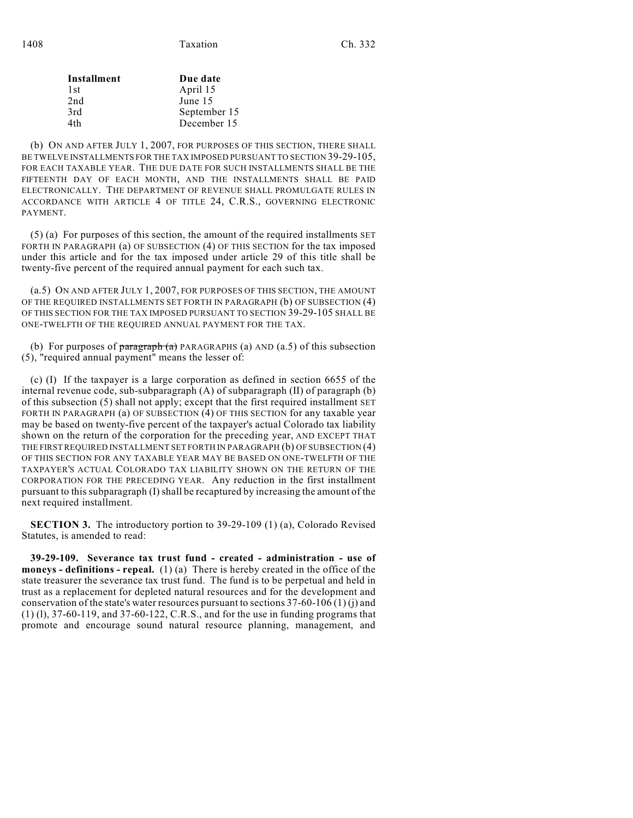| Installment | Due date     |
|-------------|--------------|
| 1st         | April 15     |
| 2nd         | June 15      |
| 3rd         | September 15 |
| 4th         | December 15  |
|             |              |

(b) ON AND AFTER JULY 1, 2007, FOR PURPOSES OF THIS SECTION, THERE SHALL BE TWELVE INSTALLMENTS FOR THE TAX IMPOSED PURSUANT TO SECTION 39-29-105, FOR EACH TAXABLE YEAR. THE DUE DATE FOR SUCH INSTALLMENTS SHALL BE THE FIFTEENTH DAY OF EACH MONTH, AND THE INSTALLMENTS SHALL BE PAID ELECTRONICALLY. THE DEPARTMENT OF REVENUE SHALL PROMULGATE RULES IN ACCORDANCE WITH ARTICLE 4 OF TITLE 24, C.R.S., GOVERNING ELECTRONIC PAYMENT.

(5) (a) For purposes of this section, the amount of the required installments SET FORTH IN PARAGRAPH (a) OF SUBSECTION (4) OF THIS SECTION for the tax imposed under this article and for the tax imposed under article 29 of this title shall be twenty-five percent of the required annual payment for each such tax.

(a.5) ON AND AFTER JULY 1, 2007, FOR PURPOSES OF THIS SECTION, THE AMOUNT OF THE REQUIRED INSTALLMENTS SET FORTH IN PARAGRAPH (b) OF SUBSECTION (4) OF THIS SECTION FOR THE TAX IMPOSED PURSUANT TO SECTION 39-29-105 SHALL BE ONE-TWELFTH OF THE REQUIRED ANNUAL PAYMENT FOR THE TAX.

(b) For purposes of paragraph  $(a)$  PARAGRAPHS (a) AND (a.5) of this subsection (5), "required annual payment" means the lesser of:

(c) (I) If the taxpayer is a large corporation as defined in section 6655 of the internal revenue code, sub-subparagraph (A) of subparagraph (II) of paragraph (b) of this subsection (5) shall not apply; except that the first required installment SET FORTH IN PARAGRAPH (a) OF SUBSECTION (4) OF THIS SECTION for any taxable year may be based on twenty-five percent of the taxpayer's actual Colorado tax liability shown on the return of the corporation for the preceding year, AND EXCEPT THAT THE FIRST REQUIRED INSTALLMENT SET FORTH IN PARAGRAPH (b) OF SUBSECTION (4) OF THIS SECTION FOR ANY TAXABLE YEAR MAY BE BASED ON ONE-TWELFTH OF THE TAXPAYER'S ACTUAL COLORADO TAX LIABILITY SHOWN ON THE RETURN OF THE CORPORATION FOR THE PRECEDING YEAR. Any reduction in the first installment pursuant to this subparagraph (I) shall be recaptured by increasing the amount of the next required installment.

**SECTION 3.** The introductory portion to 39-29-109 (1) (a), Colorado Revised Statutes, is amended to read:

**39-29-109. Severance tax trust fund - created - administration - use of moneys - definitions - repeal.** (1) (a) There is hereby created in the office of the state treasurer the severance tax trust fund. The fund is to be perpetual and held in trust as a replacement for depleted natural resources and for the development and conservation of the state's water resources pursuant to sections 37-60-106 (1) (j) and (1) (l), 37-60-119, and 37-60-122, C.R.S., and for the use in funding programs that promote and encourage sound natural resource planning, management, and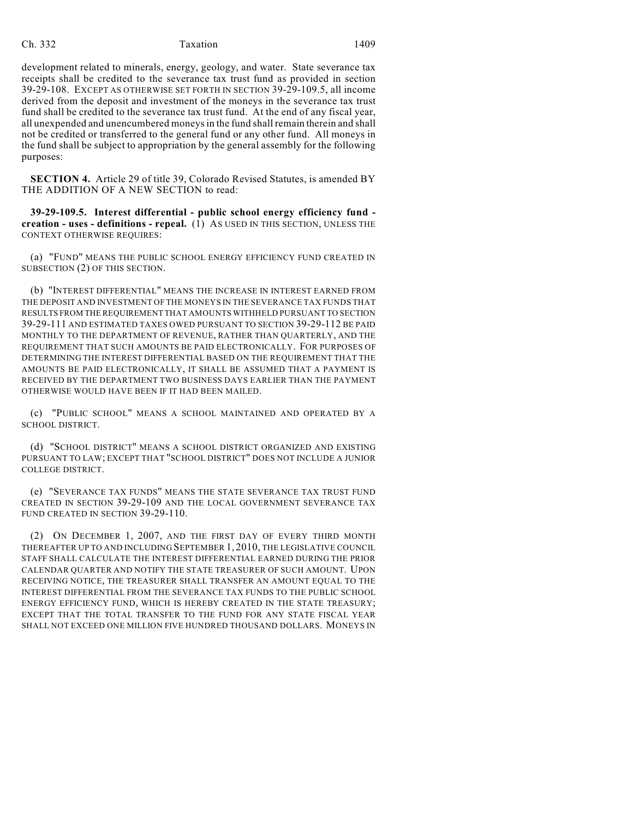## Ch. 332 Taxation 1409

development related to minerals, energy, geology, and water. State severance tax receipts shall be credited to the severance tax trust fund as provided in section 39-29-108. EXCEPT AS OTHERWISE SET FORTH IN SECTION 39-29-109.5, all income derived from the deposit and investment of the moneys in the severance tax trust fund shall be credited to the severance tax trust fund. At the end of any fiscal year, all unexpended and unencumbered moneys in the fund shall remain therein and shall not be credited or transferred to the general fund or any other fund. All moneys in the fund shall be subject to appropriation by the general assembly for the following purposes:

**SECTION 4.** Article 29 of title 39, Colorado Revised Statutes, is amended BY THE ADDITION OF A NEW SECTION to read:

**39-29-109.5. Interest differential - public school energy efficiency fund creation - uses - definitions - repeal.** (1) AS USED IN THIS SECTION, UNLESS THE CONTEXT OTHERWISE REQUIRES:

(a) "FUND" MEANS THE PUBLIC SCHOOL ENERGY EFFICIENCY FUND CREATED IN SUBSECTION (2) OF THIS SECTION.

(b) "INTEREST DIFFERENTIAL" MEANS THE INCREASE IN INTEREST EARNED FROM THE DEPOSIT AND INVESTMENT OF THE MONEYS IN THE SEVERANCE TAX FUNDS THAT RESULTS FROM THE REQUIREMENT THAT AMOUNTS WITHHELD PURSUANT TO SECTION 39-29-111 AND ESTIMATED TAXES OWED PURSUANT TO SECTION 39-29-112 BE PAID MONTHLY TO THE DEPARTMENT OF REVENUE, RATHER THAN QUARTERLY, AND THE REQUIREMENT THAT SUCH AMOUNTS BE PAID ELECTRONICALLY. FOR PURPOSES OF DETERMINING THE INTEREST DIFFERENTIAL BASED ON THE REQUIREMENT THAT THE AMOUNTS BE PAID ELECTRONICALLY, IT SHALL BE ASSUMED THAT A PAYMENT IS RECEIVED BY THE DEPARTMENT TWO BUSINESS DAYS EARLIER THAN THE PAYMENT OTHERWISE WOULD HAVE BEEN IF IT HAD BEEN MAILED.

(c) "PUBLIC SCHOOL" MEANS A SCHOOL MAINTAINED AND OPERATED BY A SCHOOL DISTRICT.

(d) "SCHOOL DISTRICT" MEANS A SCHOOL DISTRICT ORGANIZED AND EXISTING PURSUANT TO LAW; EXCEPT THAT "SCHOOL DISTRICT" DOES NOT INCLUDE A JUNIOR COLLEGE DISTRICT.

(e) "SEVERANCE TAX FUNDS" MEANS THE STATE SEVERANCE TAX TRUST FUND CREATED IN SECTION 39-29-109 AND THE LOCAL GOVERNMENT SEVERANCE TAX FUND CREATED IN SECTION 39-29-110.

(2) ON DECEMBER 1, 2007, AND THE FIRST DAY OF EVERY THIRD MONTH THEREAFTER UP TO AND INCLUDING SEPTEMBER 1, 2010, THE LEGISLATIVE COUNCIL STAFF SHALL CALCULATE THE INTEREST DIFFERENTIAL EARNED DURING THE PRIOR CALENDAR QUARTER AND NOTIFY THE STATE TREASURER OF SUCH AMOUNT. UPON RECEIVING NOTICE, THE TREASURER SHALL TRANSFER AN AMOUNT EQUAL TO THE INTEREST DIFFERENTIAL FROM THE SEVERANCE TAX FUNDS TO THE PUBLIC SCHOOL ENERGY EFFICIENCY FUND, WHICH IS HEREBY CREATED IN THE STATE TREASURY; EXCEPT THAT THE TOTAL TRANSFER TO THE FUND FOR ANY STATE FISCAL YEAR SHALL NOT EXCEED ONE MILLION FIVE HUNDRED THOUSAND DOLLARS. MONEYS IN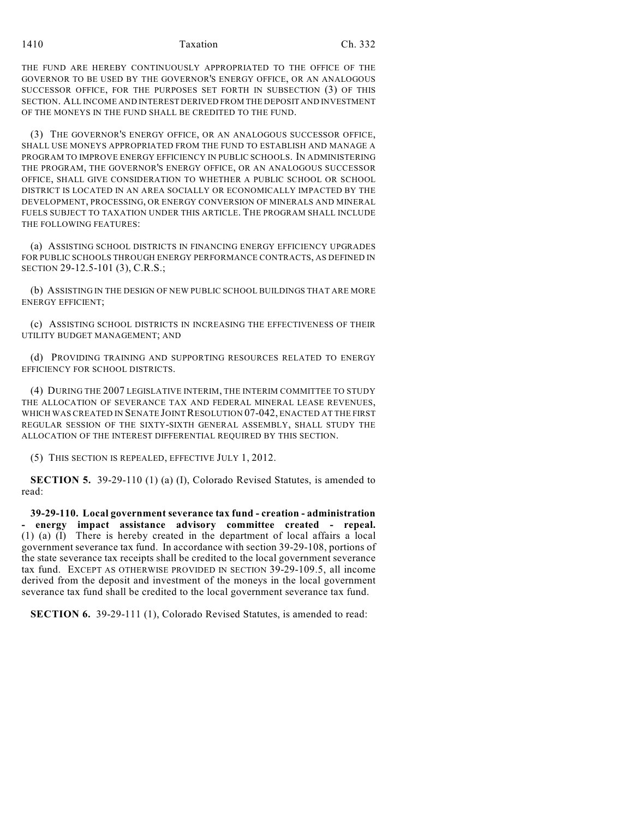THE FUND ARE HEREBY CONTINUOUSLY APPROPRIATED TO THE OFFICE OF THE GOVERNOR TO BE USED BY THE GOVERNOR'S ENERGY OFFICE, OR AN ANALOGOUS SUCCESSOR OFFICE, FOR THE PURPOSES SET FORTH IN SUBSECTION (3) OF THIS SECTION. ALL INCOME AND INTEREST DERIVED FROM THE DEPOSIT AND INVESTMENT OF THE MONEYS IN THE FUND SHALL BE CREDITED TO THE FUND.

(3) THE GOVERNOR'S ENERGY OFFICE, OR AN ANALOGOUS SUCCESSOR OFFICE, SHALL USE MONEYS APPROPRIATED FROM THE FUND TO ESTABLISH AND MANAGE A PROGRAM TO IMPROVE ENERGY EFFICIENCY IN PUBLIC SCHOOLS. IN ADMINISTERING THE PROGRAM, THE GOVERNOR'S ENERGY OFFICE, OR AN ANALOGOUS SUCCESSOR OFFICE, SHALL GIVE CONSIDERATION TO WHETHER A PUBLIC SCHOOL OR SCHOOL DISTRICT IS LOCATED IN AN AREA SOCIALLY OR ECONOMICALLY IMPACTED BY THE DEVELOPMENT, PROCESSING, OR ENERGY CONVERSION OF MINERALS AND MINERAL FUELS SUBJECT TO TAXATION UNDER THIS ARTICLE. THE PROGRAM SHALL INCLUDE THE FOLLOWING FEATURES:

(a) ASSISTING SCHOOL DISTRICTS IN FINANCING ENERGY EFFICIENCY UPGRADES FOR PUBLIC SCHOOLS THROUGH ENERGY PERFORMANCE CONTRACTS, AS DEFINED IN SECTION 29-12.5-101 (3), C.R.S.;

(b) ASSISTING IN THE DESIGN OF NEW PUBLIC SCHOOL BUILDINGS THAT ARE MORE ENERGY EFFICIENT;

(c) ASSISTING SCHOOL DISTRICTS IN INCREASING THE EFFECTIVENESS OF THEIR UTILITY BUDGET MANAGEMENT; AND

(d) PROVIDING TRAINING AND SUPPORTING RESOURCES RELATED TO ENERGY EFFICIENCY FOR SCHOOL DISTRICTS.

(4) DURING THE 2007 LEGISLATIVE INTERIM, THE INTERIM COMMITTEE TO STUDY THE ALLOCATION OF SEVERANCE TAX AND FEDERAL MINERAL LEASE REVENUES, WHICH WAS CREATED IN SENATE JOINT RESOLUTION 07-042, ENACTED AT THE FIRST REGULAR SESSION OF THE SIXTY-SIXTH GENERAL ASSEMBLY, SHALL STUDY THE ALLOCATION OF THE INTEREST DIFFERENTIAL REQUIRED BY THIS SECTION.

(5) THIS SECTION IS REPEALED, EFFECTIVE JULY 1, 2012.

**SECTION 5.** 39-29-110 (1) (a) (I), Colorado Revised Statutes, is amended to read:

**39-29-110. Local government severance tax fund - creation - administration - energy impact assistance advisory committee created - repeal.** (1) (a) (I) There is hereby created in the department of local affairs a local government severance tax fund. In accordance with section 39-29-108, portions of the state severance tax receipts shall be credited to the local government severance tax fund. EXCEPT AS OTHERWISE PROVIDED IN SECTION 39-29-109.5, all income derived from the deposit and investment of the moneys in the local government severance tax fund shall be credited to the local government severance tax fund.

**SECTION 6.** 39-29-111 (1), Colorado Revised Statutes, is amended to read: